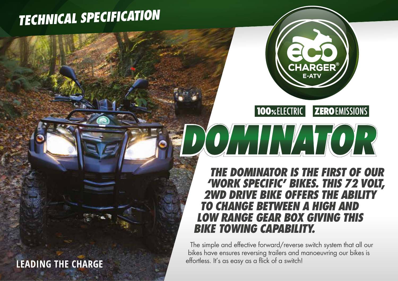## *TECHNICAL SPECIFICATION*

### **LEADING THE CHARGE**



**100%ELECTRIC ZEROEMISSIONS** 

### *THE DOMINATOR IS THE FIRST OF OUR 'WORK SPECIFIC' BIKES. THIS 72 VOLT, 2WD DRIVE BIKE OFFERS THE ABILITY TO CHANGE BETWEEN A HIGH AND LOW RANGE GEAR BOX GIVING THIS BIKE TOWING CAPABILITY.*

XOYALINYA LICER

The simple and effective forward/reverse switch system that all our bikes have ensures reversing trailers and manoeuvring our bikes is effortless. It's as easy as a flick of a switch!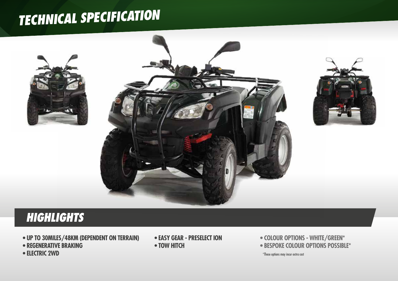# *TECHNICAL SPECIFICATION*



## **HIGHLIGHTS**

- **UP TO 30MILES/48KM (DEPENDENT ON TERRAIN)**
- **REGENERATIVE BRAKING**
- **ELECTRIC 2WD**
- **EASY GEAR PRESELECT ION**
- **TOW HITCH**
- **COLOUR OPTIONS WHITE/GREEN\***
- **BESPOKE COLOUR OPTIONS POSSIBLE\***

\*These options may incur extra cost